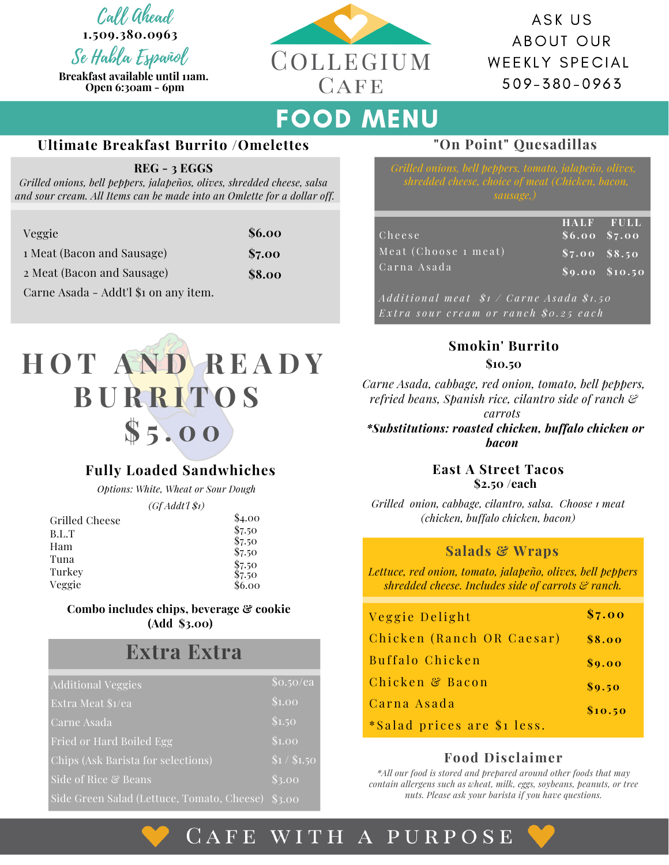Call Ahead

**1.509.380.0963**

Se Habla Español **Breakfast available until 11am. Open 6:30am - 6pm**



ASK US ABOUT OUR WEEKLY SPECIAL 5 0 9 - 3 8 0 - 0 9 6 3

# FOOD MENU

### **Ultimate Breakfast Burrito /Omelettes**

#### **REG - 3 EGGS**

*Grilled onions, bell peppers, jalapeños, olives, shredded cheese, salsa and sour cream. All Items can be made into an Omlette for a dollar off.*

| Veggie                                | \$6.00 |
|---------------------------------------|--------|
| 1 Meat (Bacon and Sausage)            | \$7.00 |
| 2 Meat (Bacon and Sausage)            | \$8.00 |
| Carne Asada - Addt'l \$1 on any item. |        |



## **Fully Loaded Sandwhiches**

*Options: White, Wheat or Sour Dough*

*(Gf Addt'l \$1)*

| Grilled Cheese | \$4.00           |
|----------------|------------------|
| B.L.T          | \$7.50           |
| Ham            | \$7.50<br>\$7.50 |
| Tuna           | \$7.50           |
| Turkey         | \$7.50           |
| Veggie         | \$6.00           |

#### **Combo includes chips, beverage & cookie (Add \$3.00)**

# **Extra Extra**

| <b>Additional Veggies</b>                  | \$o.50/ea       |
|--------------------------------------------|-----------------|
| Extra Meat \$1/ea                          | \$1.00          |
| Carne Asada                                | \$1.50          |
| Fried or Hard Boiled Egg                   | \$1.00          |
| Chips (Ask Barista for selections)         | \$1/ \$1.50     |
| Side of Rice & Beans                       | \$3.00          |
| Side Green Salad (Lettuce, Tomato, Cheese) | $\sqrt{\$3.00}$ |

## **"On Point" Quesadillas**

| Cheese               | <b>HALF FULL</b><br>$$6.00\ \overline{\$7.00}$ |                  |
|----------------------|------------------------------------------------|------------------|
| Meat (Choose 1 meat) | $$7.00$ $$8.50$                                |                  |
| Carna Asada          |                                                | $$9.00$ $$10.50$ |

Additional meat  $$1 / Carne Asada$   $$1.50$ Extra sour cream or ranch \$0.25 each

## **Smokin' Burrito**

*Carne Asada, cabbage, red onion, tomato, bell peppers, refried beans, Spanish rice, cilantro side of ranch &*

*carrots*

*\*Substitutions: roasted chicken, buffalo chicken or bacon*

> **East A Street Tacos \$2.50 /each**

*Grilled onion, cabbage, cilantro, salsa. Choose 1 meat (chicken, buffalo chicken, bacon)*

### **Salads & Wraps**

*Lettuce, red onion, tomato, jalapeño, olives, bell peppers shredded cheese. Includes side of carrots & ranch.*

| Veggie Delight              | \$7.00  |
|-----------------------------|---------|
| Chicken (Ranch OR Caesar)   | \$8.00  |
| Buffalo Chicken             | \$9.00  |
| Chicken & Bacon             | \$9.50  |
| Carna Asada                 | \$10.50 |
| *Salad prices are \$1 less. |         |

## **Food Disclaimer**

*\*All our food is stored and prepared around other foods that may contain allergens such as wheat, milk, eggs, soybeans, peanuts, or tree nuts. Please ask your barista if you have questions.*

## CAFE WITH A PURPOSE